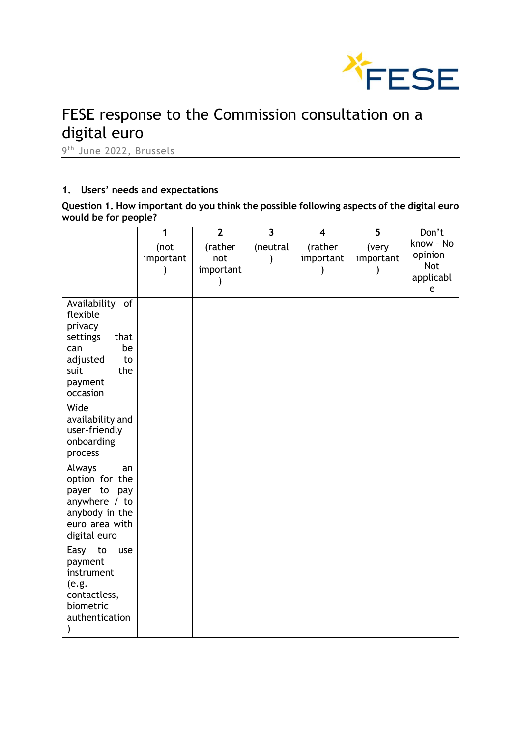

# FESE response to the Commission consultation on a digital euro

9<sup>th</sup> June 2022, Brussels

# **1. Users' needs and expectations**

**Question 1. How important do you think the possible following aspects of the digital euro would be for people?**

|                                  | 1         | $\overline{2}$   | $\overline{\mathbf{3}}$ | $\boldsymbol{4}$ | $\overline{\mathbf{5}}$ | Don't                  |
|----------------------------------|-----------|------------------|-------------------------|------------------|-------------------------|------------------------|
|                                  | (not      | (rather          | (neutral                | (rather          | (very                   | know - No<br>opinion - |
|                                  | important | not<br>important |                         | important        | important               | <b>Not</b>             |
|                                  |           |                  |                         |                  |                         | applicabl              |
|                                  |           |                  |                         |                  |                         | e                      |
| Availability<br>of               |           |                  |                         |                  |                         |                        |
| flexible<br>privacy              |           |                  |                         |                  |                         |                        |
| settings<br>that                 |           |                  |                         |                  |                         |                        |
| be<br>can                        |           |                  |                         |                  |                         |                        |
| adjusted<br>to<br>suit<br>the    |           |                  |                         |                  |                         |                        |
| payment                          |           |                  |                         |                  |                         |                        |
| occasion                         |           |                  |                         |                  |                         |                        |
| Wide                             |           |                  |                         |                  |                         |                        |
| availability and                 |           |                  |                         |                  |                         |                        |
| user-friendly<br>onboarding      |           |                  |                         |                  |                         |                        |
| process                          |           |                  |                         |                  |                         |                        |
| Always<br>an                     |           |                  |                         |                  |                         |                        |
| option for the                   |           |                  |                         |                  |                         |                        |
| payer to<br>pay<br>anywhere / to |           |                  |                         |                  |                         |                        |
| anybody in the                   |           |                  |                         |                  |                         |                        |
| euro area with                   |           |                  |                         |                  |                         |                        |
| digital euro                     |           |                  |                         |                  |                         |                        |
| Easy<br>to<br>use                |           |                  |                         |                  |                         |                        |
| payment<br>instrument            |           |                  |                         |                  |                         |                        |
| (e.g.                            |           |                  |                         |                  |                         |                        |
| contactless,                     |           |                  |                         |                  |                         |                        |
| biometric<br>authentication      |           |                  |                         |                  |                         |                        |
|                                  |           |                  |                         |                  |                         |                        |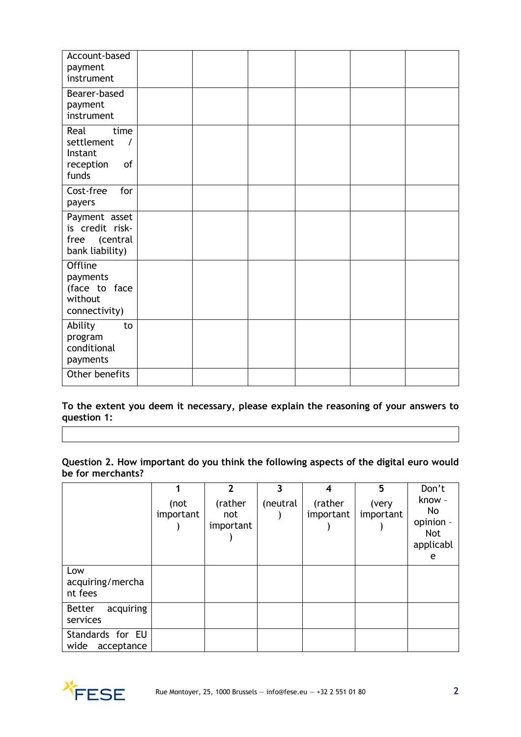| Account-based<br>payment<br>instrument                                        |  |  |  |
|-------------------------------------------------------------------------------|--|--|--|
| Bearer-based<br>payment<br>instrument                                         |  |  |  |
| Real<br>time<br>settlement<br>$\prime$<br>Instant<br>of<br>reception<br>funds |  |  |  |
| Cost-free<br>for<br>payers                                                    |  |  |  |
| Payment asset<br>is credit risk-<br>(central<br>free<br>bank liability)       |  |  |  |
| Offline<br>payments<br>(face to face<br>without<br>connectivity)              |  |  |  |
| Ability<br>to<br>program<br>conditional<br>payments                           |  |  |  |
| Other benefits                                                                |  |  |  |

**To the extent you deem it necessary, please explain the reasoning of your answers to question 1:**

**Question 2. How important do you think the following aspects of the digital euro would be for merchants?**

|                                        | (not<br>important | $\mathbf{2}$<br>(rather<br>not<br>important | 3<br>(neutral | 4<br>(rather<br>important | 5<br>(very<br>important | Don't<br>know -<br>No<br>opinion -<br><b>Not</b><br>applicabl<br>e |
|----------------------------------------|-------------------|---------------------------------------------|---------------|---------------------------|-------------------------|--------------------------------------------------------------------|
| Low<br>acquiring/mercha<br>nt fees     |                   |                                             |               |                           |                         |                                                                    |
| acquiring<br><b>Better</b><br>services |                   |                                             |               |                           |                         |                                                                    |
| Standards for EU<br>wide<br>acceptance |                   |                                             |               |                           |                         |                                                                    |

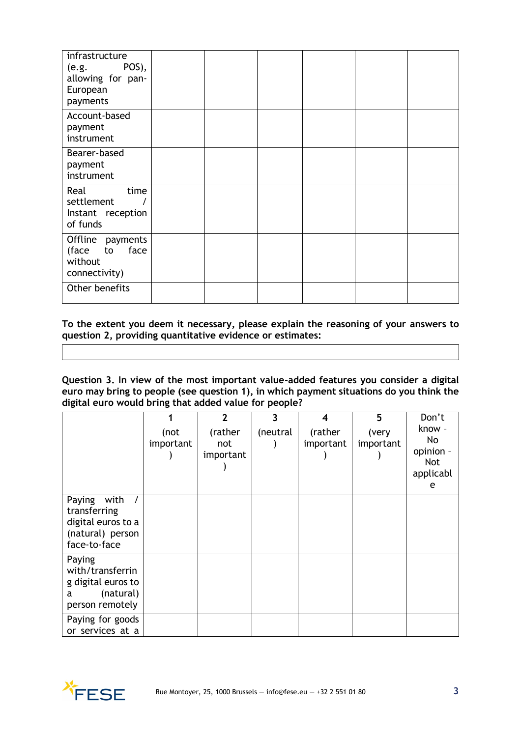| infrastructure<br>POS),<br>(e.g.<br>allowing for pan-<br>European<br>payments |  |  |  |
|-------------------------------------------------------------------------------|--|--|--|
| Account-based<br>payment<br>instrument                                        |  |  |  |
| Bearer-based<br>payment<br>instrument                                         |  |  |  |
| Real<br>time<br>settlement<br>Instant reception<br>of funds                   |  |  |  |
| Offline payments<br>face<br>(face<br>to<br>without<br>connectivity)           |  |  |  |
| Other benefits                                                                |  |  |  |

**To the extent you deem it necessary, please explain the reasoning of your answers to question 2, providing quantitative evidence or estimates:**

**Question 3. In view of the most important value-added features you consider a digital euro may bring to people (see question 1), in which payment situations do you think the digital euro would bring that added value for people?**

|                                                                                          | (not<br>important | $\overline{2}$<br>(rather<br>not<br>important | 3<br>(neutral | 4<br>(rather<br>important | 5<br>(very<br>important | Don't<br>know -<br>No<br>opinion -<br>Not<br>applicabl<br>e |
|------------------------------------------------------------------------------------------|-------------------|-----------------------------------------------|---------------|---------------------------|-------------------------|-------------------------------------------------------------|
| Paying<br>with<br>transferring<br>digital euros to a<br>(natural) person<br>face-to-face |                   |                                               |               |                           |                         |                                                             |
| Paying<br>with/transferrin<br>g digital euros to<br>(natural)<br>a<br>person remotely    |                   |                                               |               |                           |                         |                                                             |
| Paying for goods<br>or services at a                                                     |                   |                                               |               |                           |                         |                                                             |

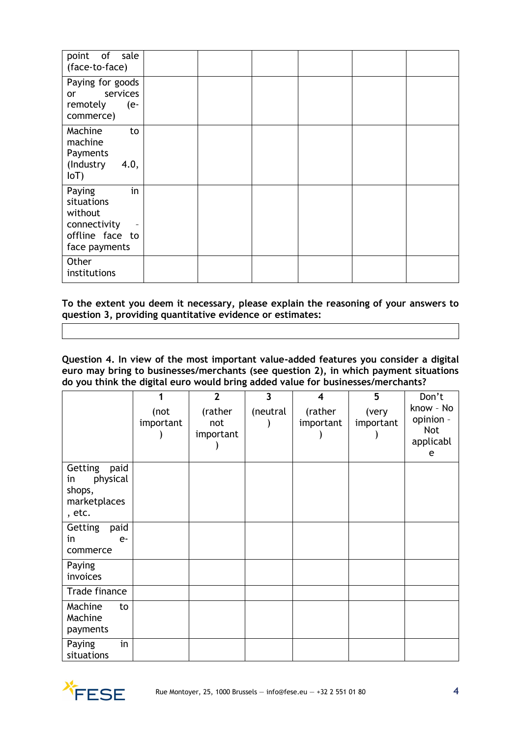| point of sale<br>(face-to-face)                                                           |  |  |  |
|-------------------------------------------------------------------------------------------|--|--|--|
| Paying for goods<br>services<br><b>or</b><br>remotely<br>$(e-$<br>commerce)               |  |  |  |
| Machine<br>to<br>machine<br>Payments<br>(Industry<br>4.0,<br>IoT                          |  |  |  |
| in<br>Paying<br>situations<br>without<br>connectivity<br>offline face to<br>face payments |  |  |  |
| Other<br>institutions                                                                     |  |  |  |

**To the extent you deem it necessary, please explain the reasoning of your answers to question 3, providing quantitative evidence or estimates:**

**Question 4. In view of the most important value-added features you consider a digital euro may bring to businesses/merchants (see question 2), in which payment situations do you think the digital euro would bring added value for businesses/merchants?**

|                                                                       |                   | $\overline{2}$              | $\overline{\mathbf{3}}$ | 4                    | 5                  | Don't                                           |
|-----------------------------------------------------------------------|-------------------|-----------------------------|-------------------------|----------------------|--------------------|-------------------------------------------------|
|                                                                       | (not<br>important | (rather<br>not<br>important | (neutral                | (rather<br>important | (very<br>important | know - No<br>opinion -<br>Not<br>applicabl<br>e |
| Getting<br>paid<br>physical<br>in<br>shops,<br>marketplaces<br>, etc. |                   |                             |                         |                      |                    |                                                 |
| Getting<br>paid<br>in<br>$e-$<br>commerce                             |                   |                             |                         |                      |                    |                                                 |
| Paying<br>invoices                                                    |                   |                             |                         |                      |                    |                                                 |
| Trade finance                                                         |                   |                             |                         |                      |                    |                                                 |
| Machine<br>to<br>Machine<br>payments                                  |                   |                             |                         |                      |                    |                                                 |
| in<br>Paying<br>situations                                            |                   |                             |                         |                      |                    |                                                 |

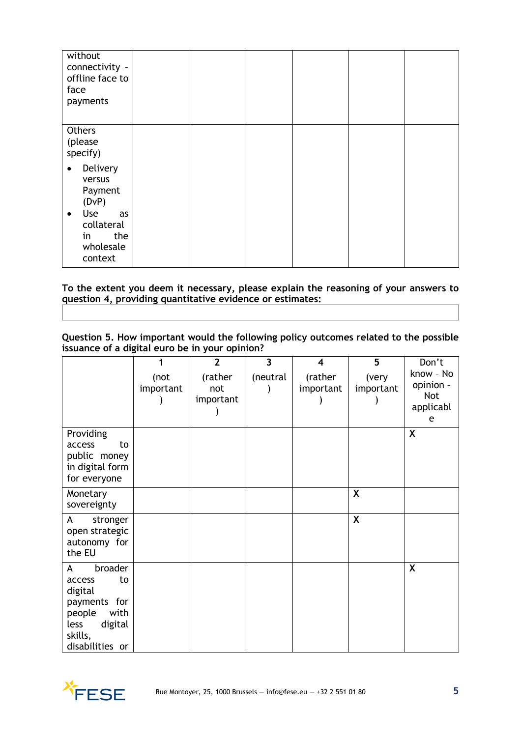| without<br>connectivity -<br>offline face to<br>face<br>payments          |  |  |  |
|---------------------------------------------------------------------------|--|--|--|
| Others<br>(please<br>specify)                                             |  |  |  |
| Delivery<br>$\bullet$<br>versus<br>Payment<br>(DVP)                       |  |  |  |
| Use<br>as<br>$\bullet$<br>collateral<br>the<br>in<br>wholesale<br>context |  |  |  |

**To the extent you deem it necessary, please explain the reasoning of your answers to question 4, providing quantitative evidence or estimates:** 

**Question 5. How important would the following policy outcomes related to the possible issuance of a digital euro be in your opinion?**

|                                                                                                                            | 1                 | $\overline{2}$              | $\overline{\mathbf{3}}$ | $\overline{\mathbf{4}}$ | $\overline{5}$     | Don't                                                  |
|----------------------------------------------------------------------------------------------------------------------------|-------------------|-----------------------------|-------------------------|-------------------------|--------------------|--------------------------------------------------------|
|                                                                                                                            | (not<br>important | (rather<br>not<br>important | (neutral                | (rather<br>important    | (very<br>important | know - No<br>opinion -<br><b>Not</b><br>applicabl<br>e |
| Providing<br>access<br>to<br>public money<br>in digital form<br>for everyone                                               |                   |                             |                         |                         |                    | X                                                      |
| Monetary<br>sovereignty                                                                                                    |                   |                             |                         |                         | X                  |                                                        |
| stronger<br>A<br>open strategic<br>autonomy for<br>the EU                                                                  |                   |                             |                         |                         | X                  |                                                        |
| broader<br>A<br>access<br>to<br>digital<br>payments for<br>people<br>with<br>less<br>digital<br>skills,<br>disabilities or |                   |                             |                         |                         |                    | X                                                      |

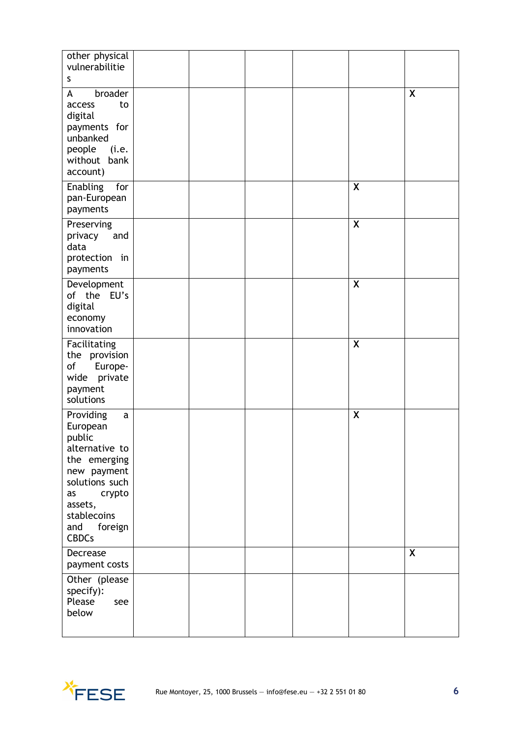| other physical<br>vulnerabilitie                                                                                                                                                               |  |  |                  |              |
|------------------------------------------------------------------------------------------------------------------------------------------------------------------------------------------------|--|--|------------------|--------------|
| S                                                                                                                                                                                              |  |  |                  |              |
| A<br>broader<br>to<br>access<br>digital<br>payments for<br>unbanked<br>people<br>(i.e.<br>without bank<br>account)                                                                             |  |  |                  | X            |
| Enabling<br>for<br>pan-European<br>payments                                                                                                                                                    |  |  | X                |              |
| Preserving<br>privacy<br>and<br>data<br>protection in<br>payments                                                                                                                              |  |  | $\boldsymbol{X}$ |              |
| Development<br>of the EU's<br>digital<br>economy<br>innovation                                                                                                                                 |  |  | X                |              |
| Facilitating<br>the provision<br>of<br>Europe-<br>wide<br>private<br>payment<br>solutions                                                                                                      |  |  | $\boldsymbol{X}$ |              |
| Providing<br>$\mathsf{a}$<br>European<br>public<br>alternative to<br>the emerging<br>new payment<br>solutions such<br>crypto<br>as<br>assets,<br>stablecoins<br>and<br>foreign<br><b>CBDCs</b> |  |  | X                |              |
| Decrease<br>payment costs                                                                                                                                                                      |  |  |                  | $\mathsf{x}$ |
| Other (please<br>specify):<br>Please<br>see<br>below                                                                                                                                           |  |  |                  |              |

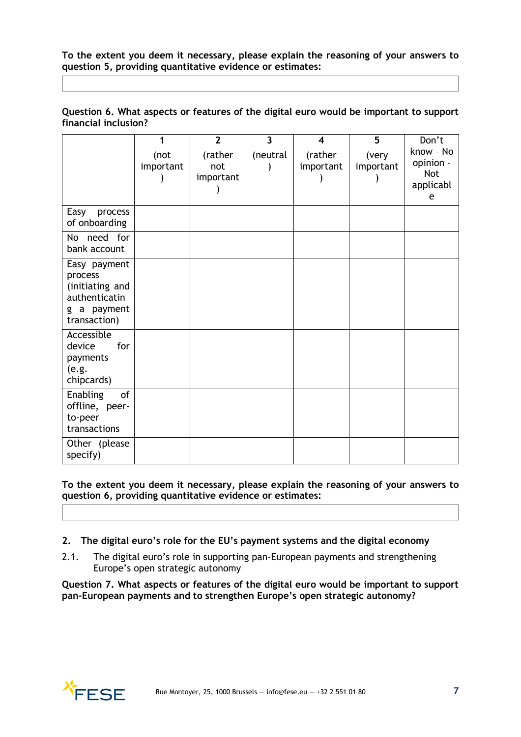**To the extent you deem it necessary, please explain the reasoning of your answers to question 5, providing quantitative evidence or estimates:**

|                      | Question 6. What aspects or features of the digital euro would be important to support |  |  |  |
|----------------------|----------------------------------------------------------------------------------------|--|--|--|
| financial inclusion? |                                                                                        |  |  |  |

|                                                                                            | (not<br>important | $\overline{2}$<br>(rather<br>not<br>important | $\overline{\mathbf{3}}$<br>(neutral | $\overline{\bf 4}$<br>(rather<br>important | 5<br>(very<br>important | Don't<br>know - No<br>opinion -<br><b>Not</b><br>applicabl<br>e |
|--------------------------------------------------------------------------------------------|-------------------|-----------------------------------------------|-------------------------------------|--------------------------------------------|-------------------------|-----------------------------------------------------------------|
| Easy<br>process<br>of onboarding                                                           |                   |                                               |                                     |                                            |                         |                                                                 |
| No need for<br>bank account                                                                |                   |                                               |                                     |                                            |                         |                                                                 |
| Easy payment<br>process<br>(initiating and<br>authenticatin<br>g a payment<br>transaction) |                   |                                               |                                     |                                            |                         |                                                                 |
| Accessible<br>device<br>for<br>payments<br>(e.g.<br>chipcards)                             |                   |                                               |                                     |                                            |                         |                                                                 |
| of<br><b>Enabling</b><br>offline, peer-<br>to-peer<br>transactions                         |                   |                                               |                                     |                                            |                         |                                                                 |
| Other (please<br>specify)                                                                  |                   |                                               |                                     |                                            |                         |                                                                 |

**To the extent you deem it necessary, please explain the reasoning of your answers to question 6, providing quantitative evidence or estimates:**

- **2. The digital euro's role for the EU's payment systems and the digital economy**
- 2.1. The digital euro's role in supporting pan-European payments and strengthening Europe's open strategic autonomy

**Question 7. What aspects or features of the digital euro would be important to support pan-European payments and to strengthen Europe's open strategic autonomy?**

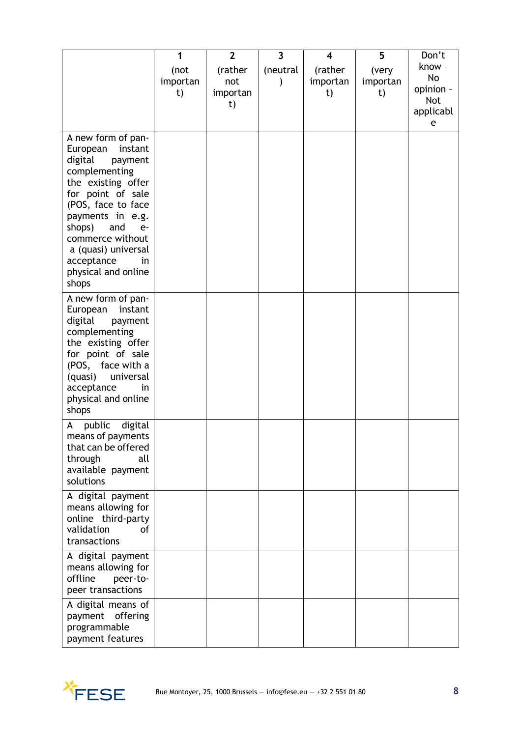|                                                                                                                                                                                                                                                                                               | 1                      | $\overline{2}$                   | $\overline{\mathbf{3}}$ | 4                         | 5                       | Don't                                                     |
|-----------------------------------------------------------------------------------------------------------------------------------------------------------------------------------------------------------------------------------------------------------------------------------------------|------------------------|----------------------------------|-------------------------|---------------------------|-------------------------|-----------------------------------------------------------|
|                                                                                                                                                                                                                                                                                               | (not<br>importan<br>t) | (rather<br>not<br>importan<br>t) | (neutral                | (rather<br>importan<br>t) | (very<br>importan<br>t) | know -<br>No<br>opinion -<br><b>Not</b><br>applicabl<br>e |
| A new form of pan-<br>European<br>instant<br>digital<br>payment<br>complementing<br>the existing offer<br>for point of sale<br>(POS, face to face<br>payments in e.g.<br>shops)<br>and<br>$e-$<br>commerce without<br>a (quasi) universal<br>acceptance<br>in<br>physical and online<br>shops |                        |                                  |                         |                           |                         |                                                           |
| A new form of pan-<br>European<br>instant<br>digital<br>payment<br>complementing<br>the existing offer<br>for point of sale<br>(POS, face with a<br>(quasi)<br>universal<br>acceptance<br>in<br>physical and online<br>shops                                                                  |                        |                                  |                         |                           |                         |                                                           |
| public<br>digital<br>A<br>means of payments<br>that can be offered<br>through<br>all<br>available payment<br>solutions                                                                                                                                                                        |                        |                                  |                         |                           |                         |                                                           |
| A digital payment<br>means allowing for<br>online third-party<br>validation<br>οf<br>transactions                                                                                                                                                                                             |                        |                                  |                         |                           |                         |                                                           |
| A digital payment<br>means allowing for<br>offline<br>peer-to-<br>peer transactions                                                                                                                                                                                                           |                        |                                  |                         |                           |                         |                                                           |
| A digital means of<br>payment offering<br>programmable<br>payment features                                                                                                                                                                                                                    |                        |                                  |                         |                           |                         |                                                           |

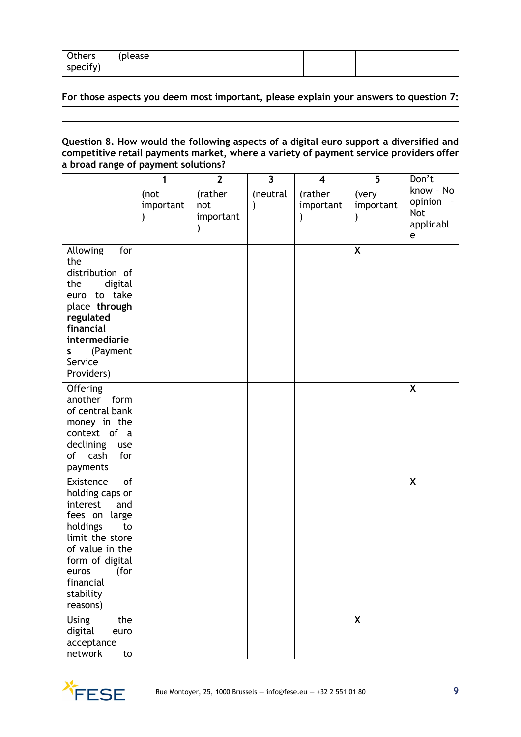| Others   | (please) |  |  |  |
|----------|----------|--|--|--|
| specify) |          |  |  |  |

# **For those aspects you deem most important, please explain your answers to question 7:**

# **Question 8. How would the following aspects of a digital euro support a diversified and competitive retail payments market, where a variety of payment service providers offer a broad range of payment solutions?**

|                                                                                                                                                                                                          | 1                 | $\overline{2}$              | $\overline{\mathbf{3}}$ | $\overline{\mathbf{4}}$ | 5                  | Don't                                                |
|----------------------------------------------------------------------------------------------------------------------------------------------------------------------------------------------------------|-------------------|-----------------------------|-------------------------|-------------------------|--------------------|------------------------------------------------------|
|                                                                                                                                                                                                          | (not<br>important | (rather<br>not<br>important | (neutral                | (rather<br>important    | (very<br>important | know - No<br>opinion<br><b>Not</b><br>applicabl<br>e |
| Allowing<br>for<br>the<br>distribution of<br>digital<br>the<br>euro to take<br>place through<br>regulated<br>financial<br>intermediarie<br>(Payment<br>S<br>Service<br>Providers)                        |                   |                             |                         |                         | X                  |                                                      |
| Offering<br>another<br>form<br>of central bank<br>money in the<br>context of a<br>declining<br>use<br>of cash<br>for<br>payments                                                                         |                   |                             |                         |                         |                    | X                                                    |
| of<br>Existence<br>holding caps or<br>interest<br>and<br>fees on large<br>holdings<br>to<br>limit the store<br>of value in the<br>form of digital<br>(for<br>euros<br>financial<br>stability<br>reasons) |                   |                             |                         |                         |                    | $\boldsymbol{\mathsf{X}}$                            |
| <b>Using</b><br>the<br>digital<br>euro<br>acceptance<br>network<br>to                                                                                                                                    |                   |                             |                         |                         | X                  |                                                      |

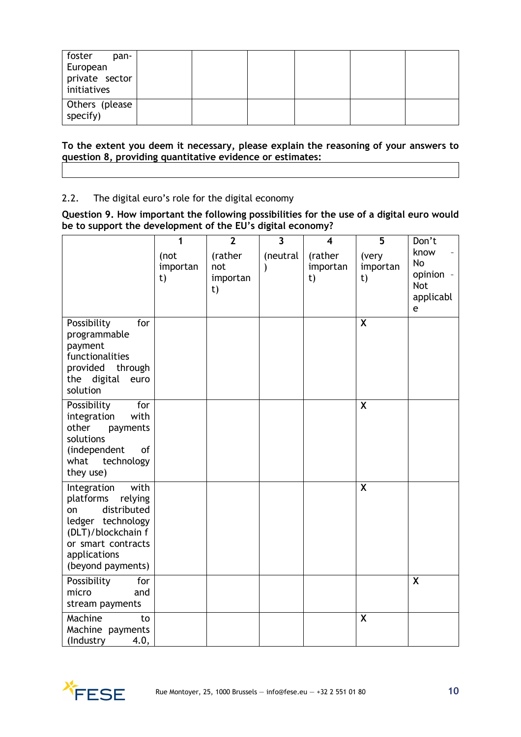| foster<br>pan-<br>European<br>private sector<br>initiatives |  |  |  |
|-------------------------------------------------------------|--|--|--|
| Others (please<br>specify)                                  |  |  |  |

**To the extent you deem it necessary, please explain the reasoning of your answers to question 8, providing quantitative evidence or estimates:**

# 2.2. The digital euro's role for the digital economy

#### **Question 9. How important the following possibilities for the use of a digital euro would be to support the development of the EU's digital economy?**

|                                                                                                                                                                        | 1                      | $\overline{2}$                   | $\overline{\mathbf{3}}$   | $\overline{\mathbf{4}}$   | 5                       | Don't                                                   |
|------------------------------------------------------------------------------------------------------------------------------------------------------------------------|------------------------|----------------------------------|---------------------------|---------------------------|-------------------------|---------------------------------------------------------|
|                                                                                                                                                                        | (not<br>importan<br>t) | (rather<br>not<br>importan<br>t) | (neutral<br>$\mathcal{E}$ | (rather<br>importan<br>t) | (very<br>importan<br>t) | know<br>No<br>opinion -<br><b>Not</b><br>applicabl<br>e |
| Possibility<br>for<br>programmable<br>payment<br>functionalities<br>provided<br>through<br>digital<br>the<br>euro<br>solution                                          |                        |                                  |                           |                           | X                       |                                                         |
| Possibility<br>for<br>with<br>integration<br>other<br>payments<br>solutions<br>(independent<br>of<br>what<br>technology<br>they use)                                   |                        |                                  |                           |                           | X                       |                                                         |
| with<br>Integration<br>platforms<br>relying<br>distributed<br>on<br>ledger technology<br>(DLT)/blockchain f<br>or smart contracts<br>applications<br>(beyond payments) |                        |                                  |                           |                           | X                       |                                                         |
| Possibility<br>for<br>micro<br>and<br>stream payments                                                                                                                  |                        |                                  |                           |                           |                         | $\mathsf{x}$                                            |
| Machine<br>to<br>Machine payments<br>4.0,<br>(Industry                                                                                                                 |                        |                                  |                           |                           | X                       |                                                         |

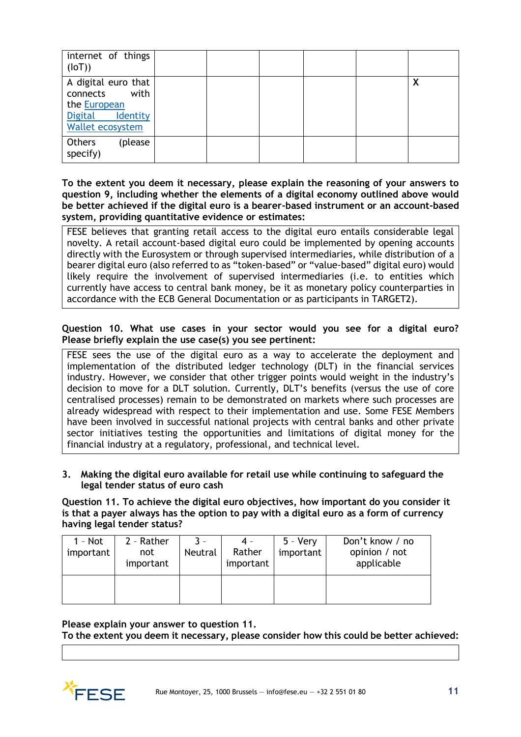| internet of things<br>(IOT))                                                                                     |  |  |   |
|------------------------------------------------------------------------------------------------------------------|--|--|---|
| A digital euro that<br>with<br>connects<br>the European<br><b>Digital</b><br><b>Identity</b><br>Wallet ecosystem |  |  | X |
| Others<br>(please<br>specify)                                                                                    |  |  |   |

**To the extent you deem it necessary, please explain the reasoning of your answers to question 9, including whether the elements of a digital economy outlined above would be better achieved if the digital euro is a bearer-based instrument or an account-based system, providing quantitative evidence or estimates:**

FESE believes that granting retail access to the digital euro entails considerable legal novelty. A retail account-based digital euro could be implemented by opening accounts directly with the Eurosystem or through supervised intermediaries, while distribution of a bearer digital euro (also referred to as "token-based" or "value-based" digital euro) would likely require the involvement of supervised intermediaries (i.e. to entities which currently have access to central bank money, be it as monetary policy counterparties in accordance with the ECB General Documentation or as participants in TARGET2).

# **Question 10. What use cases in your sector would you see for a digital euro? Please briefly explain the use case(s) you see pertinent:**

FESE sees the use of the digital euro as a way to accelerate the deployment and implementation of the distributed ledger technology (DLT) in the financial services industry. However, we consider that other trigger points would weight in the industry's decision to move for a DLT solution. Currently, DLT's benefits (versus the use of core centralised processes) remain to be demonstrated on markets where such processes are already widespread with respect to their implementation and use. Some FESE Members have been involved in successful national projects with central banks and other private sector initiatives testing the opportunities and limitations of digital money for the financial industry at a regulatory, professional, and technical level.

**3. Making the digital euro available for retail use while continuing to safeguard the legal tender status of euro cash**

**Question 11. To achieve the digital euro objectives, how important do you consider it is that a payer always has the option to pay with a digital euro as a form of currency having legal tender status?**

| $1 - Not$<br>important | 2 - Rather<br>not<br>important | $\mathbf{R}$<br>Neutral | 4 -<br>Rather<br>important | $5 - \text{Verv}$<br>important | Don't know / no<br>opinion / not<br>applicable |
|------------------------|--------------------------------|-------------------------|----------------------------|--------------------------------|------------------------------------------------|
|                        |                                |                         |                            |                                |                                                |

**Please explain your answer to question 11.**

**To the extent you deem it necessary, please consider how this could be better achieved:**

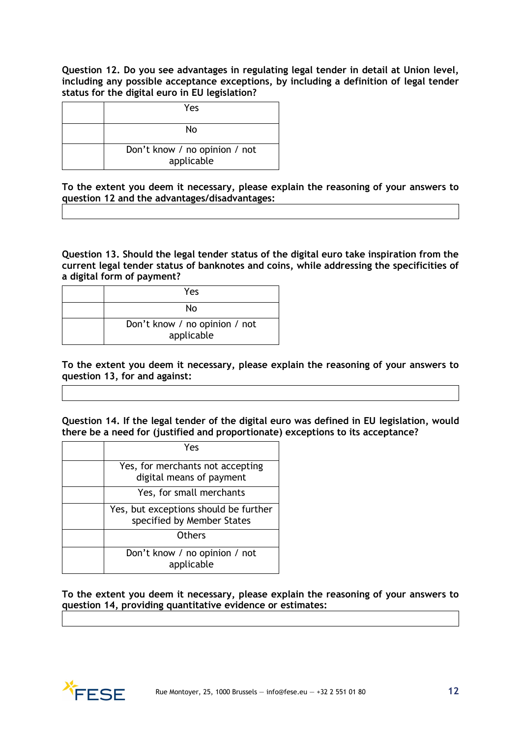**Question 12. Do you see advantages in regulating legal tender in detail at Union level, including any possible acceptance exceptions, by including a definition of legal tender status for the digital euro in EU legislation?**

| Yes                                         |
|---------------------------------------------|
| Nο                                          |
| Don't know / no opinion / not<br>applicable |

**To the extent you deem it necessary, please explain the reasoning of your answers to question 12 and the advantages/disadvantages:**

**Question 13. Should the legal tender status of the digital euro take inspiration from the current legal tender status of banknotes and coins, while addressing the specificities of a digital form of payment?**

| Yes                                         |
|---------------------------------------------|
| N٥                                          |
| Don't know / no opinion / not<br>applicable |

**To the extent you deem it necessary, please explain the reasoning of your answers to question 13, for and against:**

**Question 14. If the legal tender of the digital euro was defined in EU legislation, would there be a need for (justified and proportionate) exceptions to its acceptance?**

| Yes                                                                 |
|---------------------------------------------------------------------|
| Yes, for merchants not accepting<br>digital means of payment        |
| Yes, for small merchants                                            |
| Yes, but exceptions should be further<br>specified by Member States |
| Others                                                              |
| Don't know / no opinion / not<br>applicable                         |

**To the extent you deem it necessary, please explain the reasoning of your answers to question 14, providing quantitative evidence or estimates:**

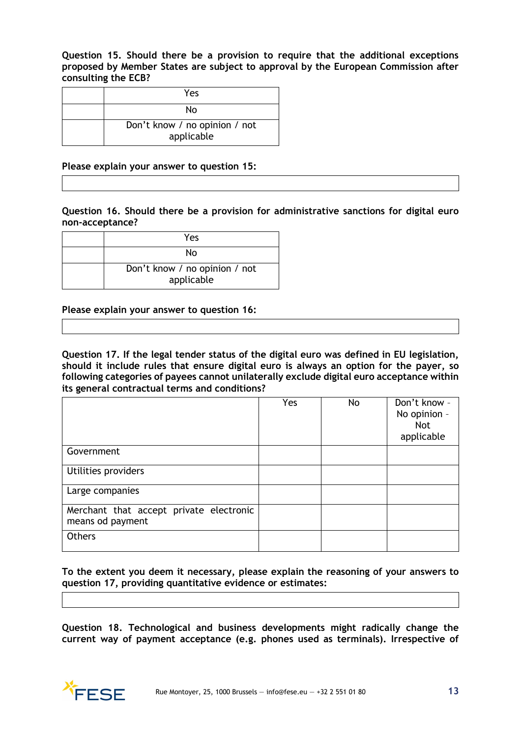**Question 15. Should there be a provision to require that the additional exceptions proposed by Member States are subject to approval by the European Commission after consulting the ECB?**

| Yes                                         |
|---------------------------------------------|
| N٥                                          |
| Don't know / no opinion / not<br>applicable |

#### **Please explain your answer to question 15:**

**Question 16. Should there be a provision for administrative sanctions for digital euro non-acceptance?**

| Yes                                         |
|---------------------------------------------|
| N٥                                          |
| Don't know / no opinion / not<br>applicable |

**Please explain your answer to question 16:** 

**Question 17. If the legal tender status of the digital euro was defined in EU legislation, should it include rules that ensure digital euro is always an option for the payer, so following categories of payees cannot unilaterally exclude digital euro acceptance within its general contractual terms and conditions?**

|                                                             | Yes | No | Don't know -<br>No opinion -<br><b>Not</b><br>applicable |
|-------------------------------------------------------------|-----|----|----------------------------------------------------------|
| Government                                                  |     |    |                                                          |
| Utilities providers                                         |     |    |                                                          |
| Large companies                                             |     |    |                                                          |
| Merchant that accept private electronic<br>means od payment |     |    |                                                          |
| Others                                                      |     |    |                                                          |

**To the extent you deem it necessary, please explain the reasoning of your answers to question 17, providing quantitative evidence or estimates:**

**Question 18. Technological and business developments might radically change the current way of payment acceptance (e.g. phones used as terminals). Irrespective of** 

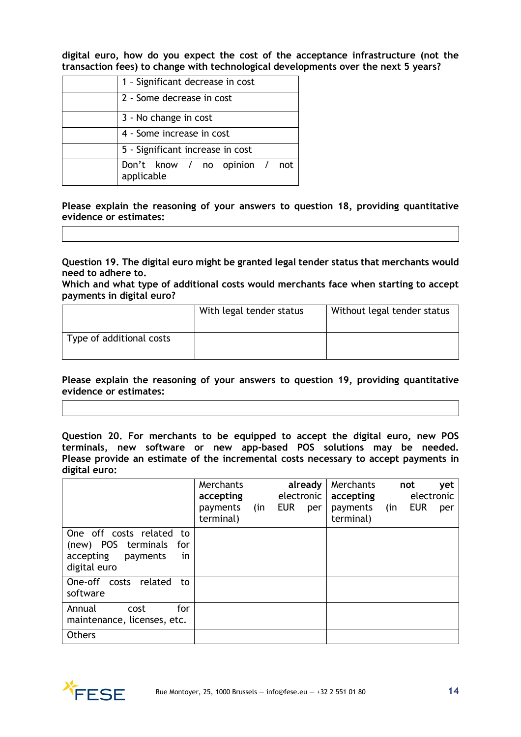**digital euro, how do you expect the cost of the acceptance infrastructure (not the transaction fees) to change with technological developments over the next 5 years?**

| 1 - Significant decrease in cost            |  |  |  |  |  |
|---------------------------------------------|--|--|--|--|--|
| 2 - Some decrease in cost                   |  |  |  |  |  |
| 3 - No change in cost                       |  |  |  |  |  |
| 4 - Some increase in cost                   |  |  |  |  |  |
| 5 - Significant increase in cost            |  |  |  |  |  |
| Don't know / no opinion / not<br>applicable |  |  |  |  |  |

**Please explain the reasoning of your answers to question 18, providing quantitative evidence or estimates:**

**Question 19. The digital euro might be granted legal tender status that merchants would need to adhere to.**

**Which and what type of additional costs would merchants face when starting to accept payments in digital euro?**

|                          | With legal tender status | Without legal tender status |
|--------------------------|--------------------------|-----------------------------|
| Type of additional costs |                          |                             |

**Please explain the reasoning of your answers to question 19, providing quantitative evidence or estimates:**

**Question 20. For merchants to be equipped to accept the digital euro, new POS terminals, new software or new app-based POS solutions may be needed. Please provide an estimate of the incremental costs necessary to accept payments in digital euro:**

|                                                                                                          | Merchants<br>accepting<br>payments<br>terminal) | (in | electronic<br><b>EUR</b> | already<br>per | Merchants<br>accepting<br>payments<br>terminal) | (in | not<br>electronic<br><b>EUR</b> | yet<br>per |
|----------------------------------------------------------------------------------------------------------|-------------------------------------------------|-----|--------------------------|----------------|-------------------------------------------------|-----|---------------------------------|------------|
| One off costs related<br>to<br>(new) POS terminals<br>for<br>accepting<br>payments<br>in<br>digital euro |                                                 |     |                          |                |                                                 |     |                                 |            |
| One-off costs related<br>to<br>software                                                                  |                                                 |     |                          |                |                                                 |     |                                 |            |
| for<br>Annual<br>cost<br>maintenance, licenses, etc.                                                     |                                                 |     |                          |                |                                                 |     |                                 |            |
| Others                                                                                                   |                                                 |     |                          |                |                                                 |     |                                 |            |

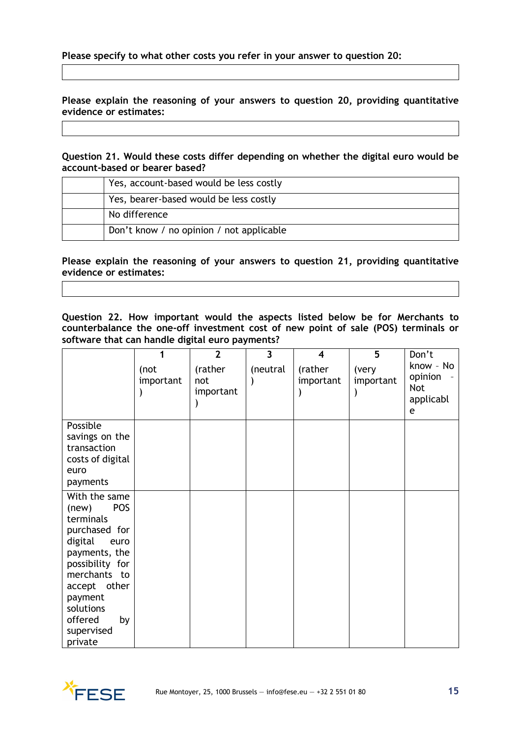**Please explain the reasoning of your answers to question 20, providing quantitative evidence or estimates:**

**Question 21. Would these costs differ depending on whether the digital euro would be account-based or bearer based?**

| Yes, account-based would be less costly  |
|------------------------------------------|
| Yes, bearer-based would be less costly   |
| No difference                            |
| Don't know / no opinion / not applicable |

**Please explain the reasoning of your answers to question 21, providing quantitative evidence or estimates:**

**Question 22. How important would the aspects listed below be for Merchants to counterbalance the one-off investment cost of new point of sale (POS) terminals or software that can handle digital euro payments?**

|                                                                                                                                                                                                                             |                   | $\overline{2}$              | $\overline{3}$ | 4                    | 5                  | Don't                                                |
|-----------------------------------------------------------------------------------------------------------------------------------------------------------------------------------------------------------------------------|-------------------|-----------------------------|----------------|----------------------|--------------------|------------------------------------------------------|
|                                                                                                                                                                                                                             | (not<br>important | (rather<br>not<br>important | (neutral       | (rather<br>important | (very<br>important | know - No<br>opinion<br><b>Not</b><br>applicabl<br>e |
| Possible<br>savings on the<br>transaction<br>costs of digital<br>euro<br>payments                                                                                                                                           |                   |                             |                |                      |                    |                                                      |
| With the same<br><b>POS</b><br>(new)<br>terminals<br>purchased for<br>digital<br>euro<br>payments, the<br>possibility for<br>merchants to<br>accept other<br>payment<br>solutions<br>offered<br>by<br>supervised<br>private |                   |                             |                |                      |                    |                                                      |

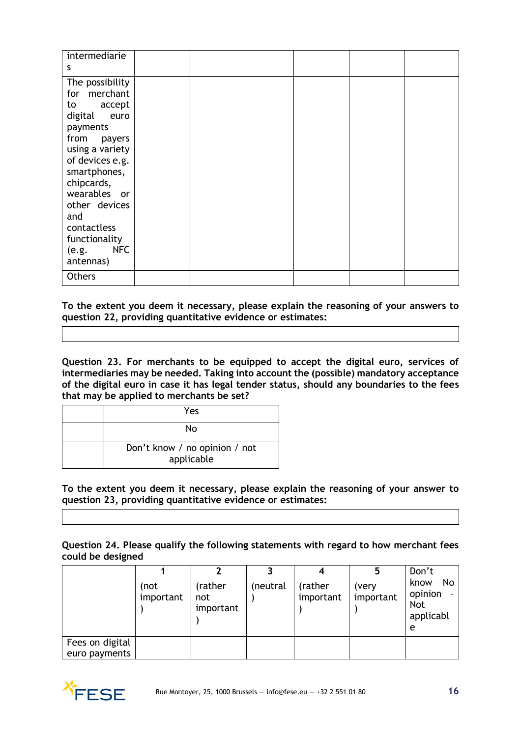| intermediarie<br>S                                                                                                                                                                                                                                                         |  |  |  |
|----------------------------------------------------------------------------------------------------------------------------------------------------------------------------------------------------------------------------------------------------------------------------|--|--|--|
| The possibility<br>for merchant<br>to accept<br>digital<br>euro<br>payments<br>from payers<br>using a variety<br>of devices e.g.<br>smartphones,<br>chipcards,<br>wearables or<br>other devices<br>and<br>contactless<br>functionality<br><b>NFC</b><br>(e.g.<br>antennas) |  |  |  |
| <b>Others</b>                                                                                                                                                                                                                                                              |  |  |  |

**To the extent you deem it necessary, please explain the reasoning of your answers to question 22, providing quantitative evidence or estimates:**

**Question 23. For merchants to be equipped to accept the digital euro, services of intermediaries may be needed. Taking into account the (possible) mandatory acceptance of the digital euro in case it has legal tender status, should any boundaries to the fees that may be applied to merchants be set?**

| Yes                                         |
|---------------------------------------------|
| Nο                                          |
| Don't know / no opinion / not<br>applicable |

**To the extent you deem it necessary, please explain the reasoning of your answer to question 23, providing quantitative evidence or estimates:**

**Question 24. Please qualify the following statements with regard to how merchant fees could be designed**

|                 |                   |                             |          |                      |                    | Don't                                         |
|-----------------|-------------------|-----------------------------|----------|----------------------|--------------------|-----------------------------------------------|
|                 | (not<br>important | (rather<br>not<br>important | (neutral | (rather<br>important | (very<br>important | know - No<br>opinion<br>Not<br>applicabl<br>e |
| Fees on digital |                   |                             |          |                      |                    |                                               |
| euro payments   |                   |                             |          |                      |                    |                                               |

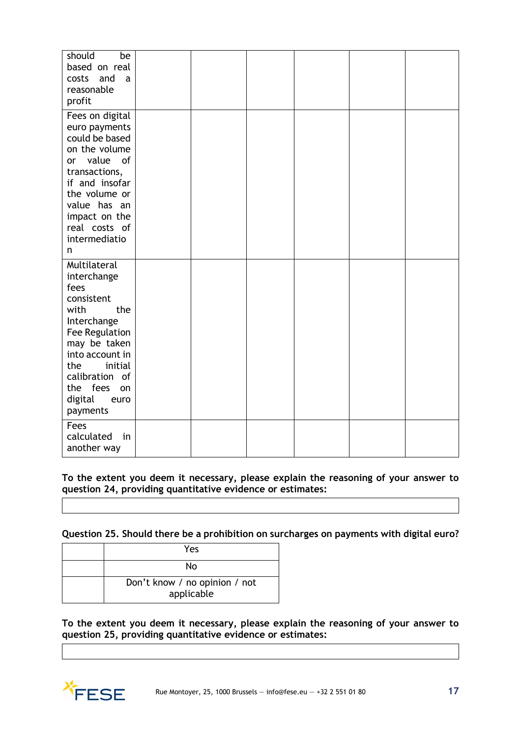| should<br>be<br>based on real<br>and<br>costs<br>a<br>reasonable<br>profit                                                                                                                                                |  |  |  |
|---------------------------------------------------------------------------------------------------------------------------------------------------------------------------------------------------------------------------|--|--|--|
| Fees on digital<br>euro payments<br>could be based<br>on the volume<br>value<br>of<br>or<br>transactions,<br>if and insofar<br>the volume or<br>value has an<br>impact on the<br>real costs of<br>intermediatio<br>n      |  |  |  |
| Multilateral<br>interchange<br>fees<br>consistent<br>with<br>the<br>Interchange<br>Fee Regulation<br>may be taken<br>into account in<br>the<br>initial<br>calibration of<br>the fees<br>on<br>digital<br>euro<br>payments |  |  |  |
| Fees<br>calculated<br>in<br>another way                                                                                                                                                                                   |  |  |  |

**To the extent you deem it necessary, please explain the reasoning of your answer to question 24, providing quantitative evidence or estimates:**

**Question 25. Should there be a prohibition on surcharges on payments with digital euro?**

| Yes                                         |
|---------------------------------------------|
| N٥                                          |
| Don't know / no opinion / not<br>applicable |

**To the extent you deem it necessary, please explain the reasoning of your answer to question 25, providing quantitative evidence or estimates:**

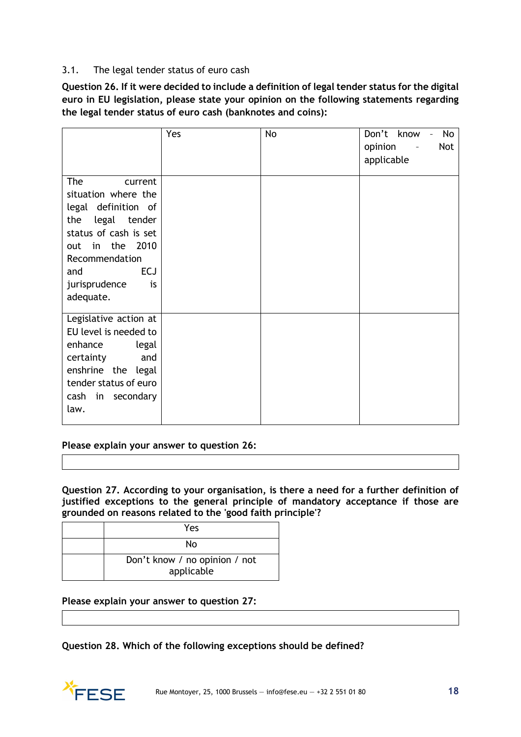# 3.1. The legal tender status of euro cash

**Question 26. If it were decided to include a definition of legal tender status for the digital euro in EU legislation, please state your opinion on the following statements regarding the legal tender status of euro cash (banknotes and coins):**

|                                                                                                                                                                                                                   | Yes | <b>No</b> | Don't know<br>No<br>$\bar{\phantom{a}}$<br>Not<br>opinion<br>$\overline{\phantom{a}}$<br>applicable |
|-------------------------------------------------------------------------------------------------------------------------------------------------------------------------------------------------------------------|-----|-----------|-----------------------------------------------------------------------------------------------------|
| <b>The</b><br>current<br>situation where the<br>legal definition of<br>the<br>legal tender<br>status of cash is set<br>out in the 2010<br>Recommendation<br><b>ECJ</b><br>and<br>jurisprudence<br>is<br>adequate. |     |           |                                                                                                     |
| Legislative action at<br>EU level is needed to<br>enhance<br>legal<br>and<br>certainty<br>enshrine the legal<br>tender status of euro<br>cash in secondary<br>law.                                                |     |           |                                                                                                     |

**Please explain your answer to question 26:**

**Question 27. According to your organisation, is there a need for a further definition of justified exceptions to the general principle of mandatory acceptance if those are grounded on reasons related to the 'good faith principle'?**

| Yes                                         |
|---------------------------------------------|
| Nο                                          |
| Don't know / no opinion / not<br>applicable |

# **Please explain your answer to question 27:**

**Question 28. Which of the following exceptions should be defined?**

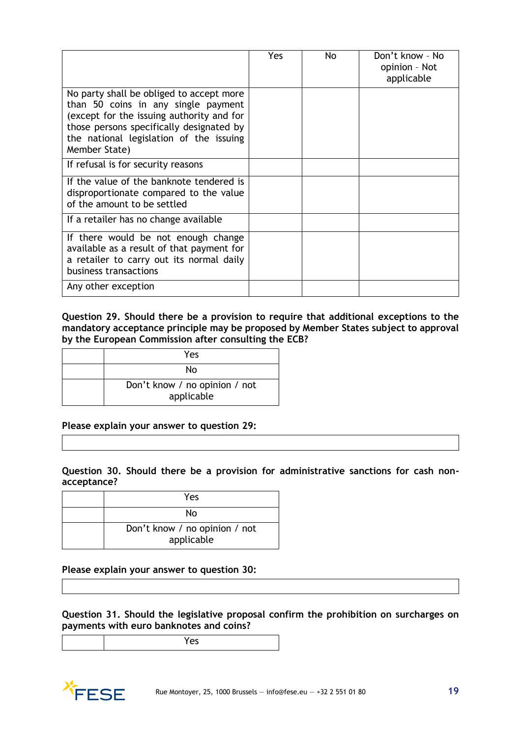|                                                                                                                                                                                                                                      | Yes | No. | Don't know - No<br>opinion - Not<br>applicable |
|--------------------------------------------------------------------------------------------------------------------------------------------------------------------------------------------------------------------------------------|-----|-----|------------------------------------------------|
| No party shall be obliged to accept more<br>than 50 coins in any single payment<br>(except for the issuing authority and for<br>those persons specifically designated by<br>the national legislation of the issuing<br>Member State) |     |     |                                                |
| If refusal is for security reasons                                                                                                                                                                                                   |     |     |                                                |
| If the value of the banknote tendered is<br>disproportionate compared to the value<br>of the amount to be settled                                                                                                                    |     |     |                                                |
| If a retailer has no change available                                                                                                                                                                                                |     |     |                                                |
| If there would be not enough change<br>available as a result of that payment for<br>a retailer to carry out its normal daily<br>business transactions                                                                                |     |     |                                                |
| Any other exception                                                                                                                                                                                                                  |     |     |                                                |

#### **Question 29. Should there be a provision to require that additional exceptions to the mandatory acceptance principle may be proposed by Member States subject to approval by the European Commission after consulting the ECB?**

| Yes                                         |
|---------------------------------------------|
| Nο                                          |
| Don't know / no opinion / not<br>applicable |

#### **Please explain your answer to question 29:**

#### **Question 30. Should there be a provision for administrative sanctions for cash nonacceptance?**

| Yes                                         |
|---------------------------------------------|
| Nο                                          |
| Don't know / no opinion / not<br>applicable |

# **Please explain your answer to question 30:**

**Question 31. Should the legislative proposal confirm the prohibition on surcharges on payments with euro banknotes and coins?**

| c<br>-- |
|---------|
|         |

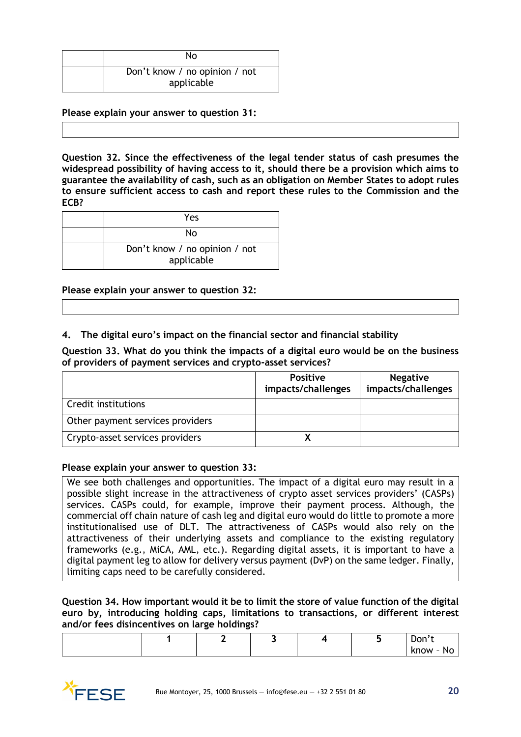| Nο                                          |
|---------------------------------------------|
| Don't know / no opinion / not<br>applicable |

**Please explain your answer to question 31:**

**Question 32. Since the effectiveness of the legal tender status of cash presumes the widespread possibility of having access to it, should there be a provision which aims to guarantee the availability of cash, such as an obligation on Member States to adopt rules to ensure sufficient access to cash and report these rules to the Commission and the ECB?**

| Yes                                         |
|---------------------------------------------|
| N٥                                          |
| Don't know / no opinion / not<br>applicable |

#### **Please explain your answer to question 32:**

**4. The digital euro's impact on the financial sector and financial stability**

**Question 33. What do you think the impacts of a digital euro would be on the business of providers of payment services and crypto-asset services?**

|                                  | <b>Positive</b><br>impacts/challenges | <b>Negative</b><br>impacts/challenges |
|----------------------------------|---------------------------------------|---------------------------------------|
| Credit institutions              |                                       |                                       |
| Other payment services providers |                                       |                                       |
| Crypto-asset services providers  |                                       |                                       |

#### **Please explain your answer to question 33:**

We see both challenges and opportunities. The impact of a digital euro may result in a possible slight increase in the attractiveness of crypto asset services providers' (CASPs) services. CASPs could, for example, improve their payment process. Although, the commercial off chain nature of cash leg and digital euro would do little to promote a more institutionalised use of DLT. The attractiveness of CASPs would also rely on the attractiveness of their underlying assets and compliance to the existing regulatory frameworks (e.g., MiCA, AML, etc.). Regarding digital assets, it is important to have a digital payment leg to allow for delivery versus payment (DvP) on the same ledger. Finally, limiting caps need to be carefully considered.

**Question 34. How important would it be to limit the store of value function of the digital euro by, introducing holding caps, limitations to transactions, or different interest and/or fees disincentives on large holdings?**

|  | ۔<br>— |  | Don't                                         |
|--|--------|--|-----------------------------------------------|
|  |        |  | know<br><b>NC</b><br>$\overline{\phantom{0}}$ |

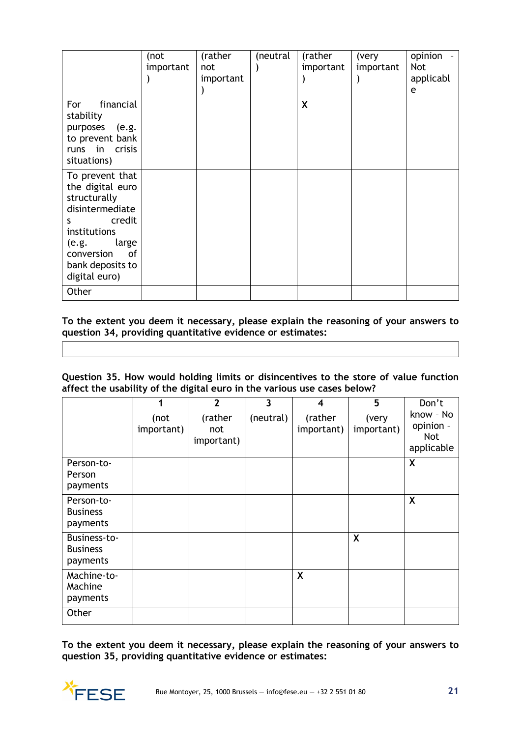|                                                                                                                                                                                   | (not<br>important | (rather<br>not<br>important | (neutral | (rather<br>important | (very<br>important | opinion<br><b>Not</b><br>applicabl<br>e |
|-----------------------------------------------------------------------------------------------------------------------------------------------------------------------------------|-------------------|-----------------------------|----------|----------------------|--------------------|-----------------------------------------|
| financial<br>For<br>stability<br>purposes (e.g.<br>to prevent bank<br>runs in crisis<br>situations)                                                                               |                   |                             |          | X                    |                    |                                         |
| To prevent that<br>the digital euro<br>structurally<br>disintermediate<br>credit<br>S.<br>institutions<br>(e.g.<br>large<br>of<br>conversion<br>bank deposits to<br>digital euro) |                   |                             |          |                      |                    |                                         |
| Other                                                                                                                                                                             |                   |                             |          |                      |                    |                                         |

**To the extent you deem it necessary, please explain the reasoning of your answers to question 34, providing quantitative evidence or estimates:**

**Question 35. How would holding limits or disincentives to the store of value function affect the usability of the digital euro in the various use cases below?**

|                                             | 1                  | $\overline{2}$               | 3         | 4                     | 5                   | Don't                                       |
|---------------------------------------------|--------------------|------------------------------|-----------|-----------------------|---------------------|---------------------------------------------|
|                                             | (not<br>important) | (rather<br>not<br>important) | (neutral) | (rather<br>important) | (very<br>important) | know - No<br>opinion -<br>Not<br>applicable |
| Person-to-<br>Person<br>payments            |                    |                              |           |                       |                     | X                                           |
| Person-to-<br><b>Business</b><br>payments   |                    |                              |           |                       |                     | X                                           |
| Business-to-<br><b>Business</b><br>payments |                    |                              |           |                       | X                   |                                             |
| Machine-to-<br>Machine<br>payments          |                    |                              |           | X                     |                     |                                             |
| Other                                       |                    |                              |           |                       |                     |                                             |

**To the extent you deem it necessary, please explain the reasoning of your answers to question 35, providing quantitative evidence or estimates:**

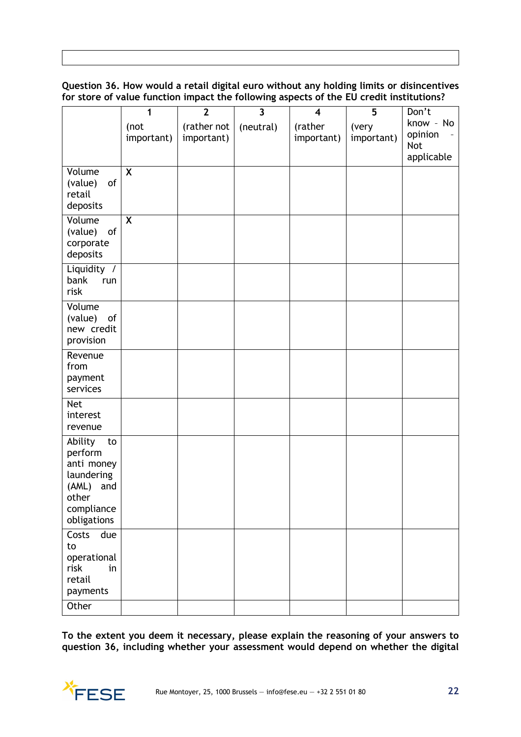# **Question 36. How would a retail digital euro without any holding limits or disincentives for store of value function impact the following aspects of the EU credit institutions?**

|                                                                                                         | 1                         | $\overline{2}$            | $\overline{\mathbf{3}}$ | $\overline{\mathbf{4}}$ | 5                   | Don't                                            |
|---------------------------------------------------------------------------------------------------------|---------------------------|---------------------------|-------------------------|-------------------------|---------------------|--------------------------------------------------|
|                                                                                                         | (not<br>important)        | (rather not<br>important) | (neutral)               | (rather<br>important)   | (very<br>important) | know - No<br>opinion<br><b>Not</b><br>applicable |
| Volume<br>of<br>(value)<br>retail<br>deposits                                                           | $\boldsymbol{\mathsf{X}}$ |                           |                         |                         |                     |                                                  |
| Volume<br>of<br>(value)<br>corporate<br>deposits                                                        | X                         |                           |                         |                         |                     |                                                  |
| Liquidity /<br>bank<br>run<br>risk                                                                      |                           |                           |                         |                         |                     |                                                  |
| Volume<br>(value)<br>of<br>new credit<br>provision                                                      |                           |                           |                         |                         |                     |                                                  |
| Revenue<br>from<br>payment<br>services                                                                  |                           |                           |                         |                         |                     |                                                  |
| <b>Net</b><br>interest<br>revenue                                                                       |                           |                           |                         |                         |                     |                                                  |
| Ability<br>to<br>perform<br>anti money<br>laundering<br>(AML) and<br>other<br>compliance<br>obligations |                           |                           |                         |                         |                     |                                                  |
| Costs<br>due<br>to<br>operational<br>risk<br>in<br>retail<br>payments                                   |                           |                           |                         |                         |                     |                                                  |
| Other                                                                                                   |                           |                           |                         |                         |                     |                                                  |

**To the extent you deem it necessary, please explain the reasoning of your answers to question 36, including whether your assessment would depend on whether the digital** 

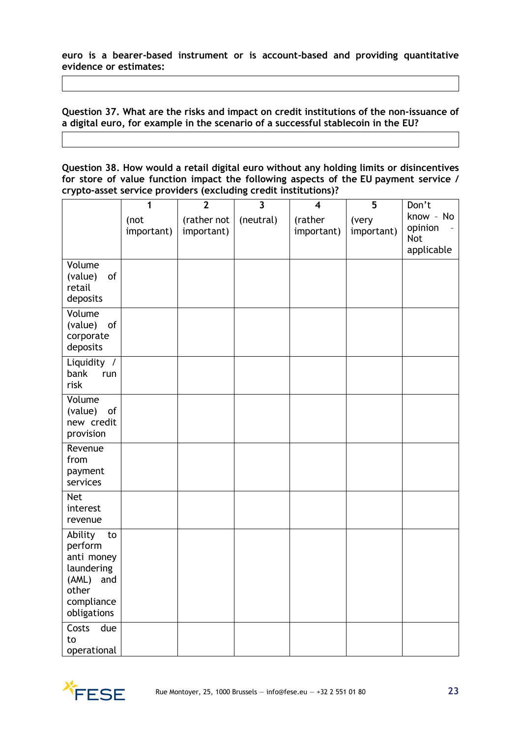**euro is a bearer-based instrument or is account-based and providing quantitative evidence or estimates:**

**Question 37. What are the risks and impact on credit institutions of the non-issuance of a digital euro, for example in the scenario of a successful stablecoin in the EU?**

**Question 38. How would a retail digital euro without any holding limits or disincentives for store of value function impact the following aspects of the EU payment service / crypto-asset service providers (excluding credit institutions)?**

|                                                                                                            | 1<br>(not  | $\overline{2}$<br>(rather not | $\overline{\mathbf{3}}$<br>(neutral) | $\overline{\mathbf{4}}$<br>(rather | 5<br>(very | Don't<br>know - No                  |
|------------------------------------------------------------------------------------------------------------|------------|-------------------------------|--------------------------------------|------------------------------------|------------|-------------------------------------|
|                                                                                                            | important) | important)                    |                                      | important)                         | important) | opinion<br><b>Not</b><br>applicable |
| Volume<br>(value)<br>of<br>retail<br>deposits                                                              |            |                               |                                      |                                    |            |                                     |
| Volume<br>of<br>(value)<br>corporate<br>deposits                                                           |            |                               |                                      |                                    |            |                                     |
| Liquidity /<br>bank<br>run<br>risk                                                                         |            |                               |                                      |                                    |            |                                     |
| Volume<br>(value)<br>of<br>new credit<br>provision                                                         |            |                               |                                      |                                    |            |                                     |
| Revenue<br>from<br>payment<br>services                                                                     |            |                               |                                      |                                    |            |                                     |
| <b>Net</b><br>interest<br>revenue                                                                          |            |                               |                                      |                                    |            |                                     |
| Ability<br>to<br>perform<br>anti money<br>laundering<br>(AML)<br>and<br>other<br>compliance<br>obligations |            |                               |                                      |                                    |            |                                     |
| Costs<br>due<br>to<br>operational                                                                          |            |                               |                                      |                                    |            |                                     |

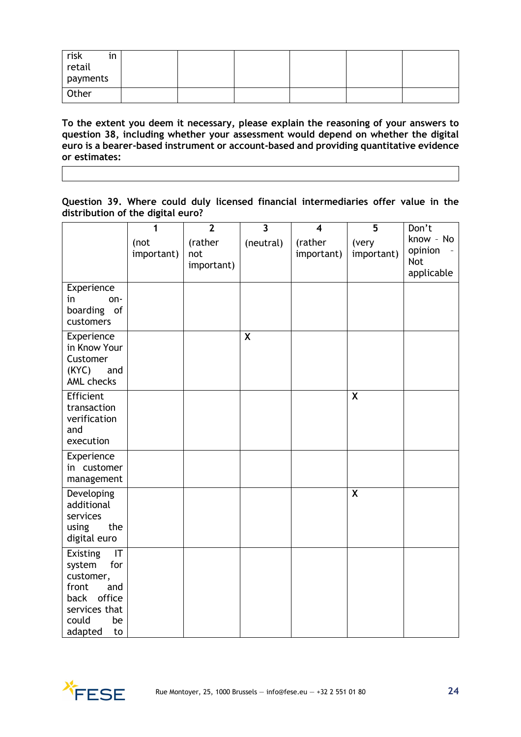| risk<br>retail<br>$\bullet$<br>in<br>payments |  |  |  |
|-----------------------------------------------|--|--|--|
| Other                                         |  |  |  |

**To the extent you deem it necessary, please explain the reasoning of your answers to question 38, including whether your assessment would depend on whether the digital euro is a bearer-based instrument or account-based and providing quantitative evidence or estimates:**

**Question 39. Where could duly licensed financial intermediaries offer value in the distribution of the digital euro?**

|                                                                                                                                                     | 1<br>(not<br>important) | $\overline{2}$<br>(rather<br>not<br>important) | $\overline{\mathbf{3}}$<br>(neutral) | $\overline{\mathbf{4}}$<br>(rather<br>important) | 5<br>(very<br>important)  | Don't<br>know - No<br>opinion<br><b>Not</b><br>applicable |
|-----------------------------------------------------------------------------------------------------------------------------------------------------|-------------------------|------------------------------------------------|--------------------------------------|--------------------------------------------------|---------------------------|-----------------------------------------------------------|
| Experience<br>in<br>on-<br>boarding of<br>customers                                                                                                 |                         |                                                |                                      |                                                  |                           |                                                           |
| Experience<br>in Know Your<br>Customer<br>(KYC)<br>and<br><b>AML</b> checks                                                                         |                         |                                                | $\boldsymbol{X}$                     |                                                  |                           |                                                           |
| Efficient<br>transaction<br>verification<br>and<br>execution                                                                                        |                         |                                                |                                      |                                                  | $\boldsymbol{\mathsf{X}}$ |                                                           |
| Experience<br>in customer<br>management                                                                                                             |                         |                                                |                                      |                                                  |                           |                                                           |
| Developing<br>additional<br>services<br>the<br>using<br>digital euro                                                                                |                         |                                                |                                      |                                                  | $\boldsymbol{\mathsf{X}}$ |                                                           |
| Existing<br>$\mathsf{I}\mathsf{T}$<br>system<br>for<br>customer,<br>front<br>and<br>office<br>back<br>services that<br>could<br>be<br>adapted<br>to |                         |                                                |                                      |                                                  |                           |                                                           |

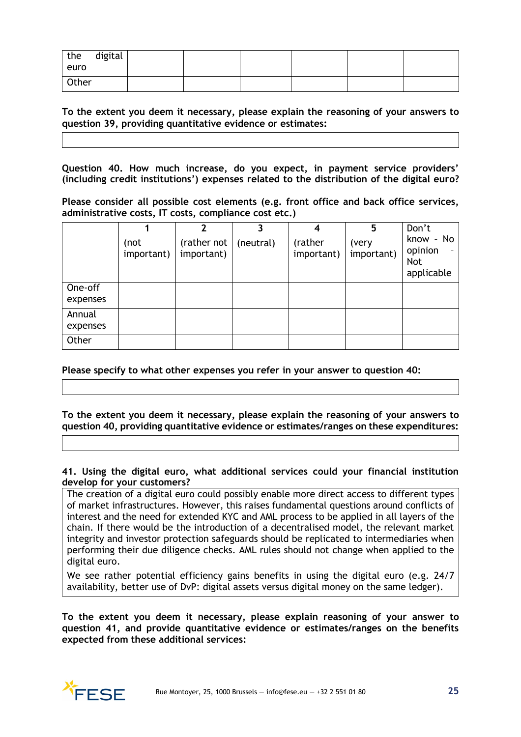| the<br>euro | digital |  |  |  |
|-------------|---------|--|--|--|
| Other       |         |  |  |  |

**To the extent you deem it necessary, please explain the reasoning of your answers to question 39, providing quantitative evidence or estimates:**

**Question 40. How much increase, do you expect, in payment service providers' (including credit institutions') expenses related to the distribution of the digital euro?**

**Please consider all possible cost elements (e.g. front office and back office services, administrative costs, IT costs, compliance cost etc.)**

|                     |                    | 2                         |           |                       | 5                   | Don't                                            |
|---------------------|--------------------|---------------------------|-----------|-----------------------|---------------------|--------------------------------------------------|
|                     | (not<br>important) | (rather not<br>important) | (neutral) | (rather<br>important) | (very<br>important) | know - No<br>opinion<br><b>Not</b><br>applicable |
| One-off<br>expenses |                    |                           |           |                       |                     |                                                  |
| Annual<br>expenses  |                    |                           |           |                       |                     |                                                  |
| Other               |                    |                           |           |                       |                     |                                                  |

**Please specify to what other expenses you refer in your answer to question 40:**

**To the extent you deem it necessary, please explain the reasoning of your answers to question 40, providing quantitative evidence or estimates/ranges on these expenditures:**

**41. Using the digital euro, what additional services could your financial institution develop for your customers?**

The creation of a digital euro could possibly enable more direct access to different types of market infrastructures. However, this raises fundamental questions around conflicts of interest and the need for extended KYC and AML process to be applied in all layers of the chain. If there would be the introduction of a decentralised model, the relevant market integrity and investor protection safeguards should be replicated to intermediaries when performing their due diligence checks. AML rules should not change when applied to the digital euro.

We see rather potential efficiency gains benefits in using the digital euro (e.g. 24/7 availability, better use of DvP: digital assets versus digital money on the same ledger).

**To the extent you deem it necessary, please explain reasoning of your answer to question 41, and provide quantitative evidence or estimates/ranges on the benefits expected from these additional services:**

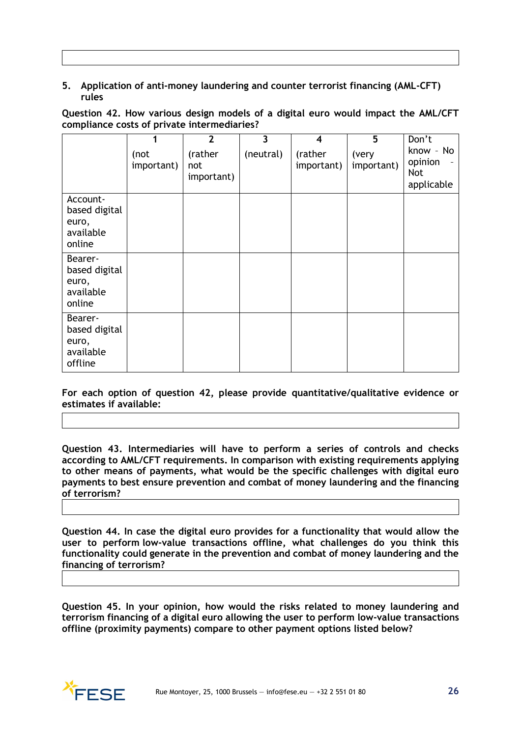# **5. Application of anti-money laundering and counter terrorist financing (AML-CFT) rules**

**Question 42. How various design models of a digital euro would impact the AML/CFT compliance costs of private intermediaries?**

|                                                           |                    | $\overline{2}$               | 3         | $\overline{\mathbf{4}}$ | 5                   | Don't                                     |
|-----------------------------------------------------------|--------------------|------------------------------|-----------|-------------------------|---------------------|-------------------------------------------|
|                                                           | (not<br>important) | (rather<br>not<br>important) | (neutral) | (rather<br>important)   | (very<br>important) | know - No<br>opinion<br>Not<br>applicable |
| Account-<br>based digital<br>euro,<br>available<br>online |                    |                              |           |                         |                     |                                           |
| Bearer-<br>based digital<br>euro,<br>available<br>online  |                    |                              |           |                         |                     |                                           |
| Bearer-<br>based digital<br>euro,<br>available<br>offline |                    |                              |           |                         |                     |                                           |

**For each option of question 42, please provide quantitative/qualitative evidence or estimates if available:**

**Question 43. Intermediaries will have to perform a series of controls and checks according to AML/CFT requirements. In comparison with existing requirements applying to other means of payments, what would be the specific challenges with digital euro payments to best ensure prevention and combat of money laundering and the financing of terrorism?**

**Question 44. In case the digital euro provides for a functionality that would allow the user to perform low-value transactions offline, what challenges do you think this functionality could generate in the prevention and combat of money laundering and the financing of terrorism?**

**Question 45. In your opinion, how would the risks related to money laundering and terrorism financing of a digital euro allowing the user to perform low-value transactions offline (proximity payments) compare to other payment options listed below?**

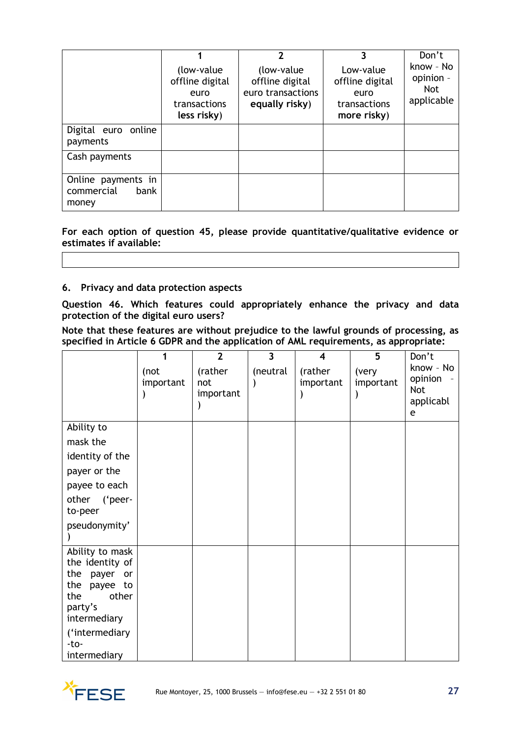|                                                   | (low-value)<br>offline digital<br>euro<br>transactions<br>less risky) | 2<br>(low-value)<br>offline digital<br>euro transactions<br>equally risky) | Low-value<br>offline digital<br>euro<br>transactions<br>more risky) | Don't<br>know - No<br>opinion -<br><b>Not</b><br>applicable |
|---------------------------------------------------|-----------------------------------------------------------------------|----------------------------------------------------------------------------|---------------------------------------------------------------------|-------------------------------------------------------------|
| Digital euro online<br>payments                   |                                                                       |                                                                            |                                                                     |                                                             |
| Cash payments                                     |                                                                       |                                                                            |                                                                     |                                                             |
| Online payments in<br>commercial<br>bank<br>money |                                                                       |                                                                            |                                                                     |                                                             |

**For each option of question 45, please provide quantitative/qualitative evidence or estimates if available:**

#### **6. Privacy and data protection aspects**

**Question 46. Which features could appropriately enhance the privacy and data protection of the digital euro users?**

**Note that these features are without prejudice to the lawful grounds of processing, as specified in Article 6 GDPR and the application of AML requirements, as appropriate:**

|                                                                                                                        |                   | $\overline{2}$              | $\overline{\mathbf{3}}$ | 4                    | 5                  | Don't                                                |
|------------------------------------------------------------------------------------------------------------------------|-------------------|-----------------------------|-------------------------|----------------------|--------------------|------------------------------------------------------|
|                                                                                                                        | (not<br>important | (rather<br>not<br>important | (neutral                | (rather<br>important | (very<br>important | know - No<br>opinion<br><b>Not</b><br>applicabl<br>e |
| Ability to                                                                                                             |                   |                             |                         |                      |                    |                                                      |
| mask the                                                                                                               |                   |                             |                         |                      |                    |                                                      |
| identity of the                                                                                                        |                   |                             |                         |                      |                    |                                                      |
| payer or the                                                                                                           |                   |                             |                         |                      |                    |                                                      |
| payee to each                                                                                                          |                   |                             |                         |                      |                    |                                                      |
| ('peer-<br>other<br>to-peer                                                                                            |                   |                             |                         |                      |                    |                                                      |
| pseudonymity'                                                                                                          |                   |                             |                         |                      |                    |                                                      |
| Ability to mask<br>the identity of<br>the<br>payer<br>or<br>the<br>payee to<br>other<br>the<br>party's<br>intermediary |                   |                             |                         |                      |                    |                                                      |
| ('intermediary<br>-to-<br>intermediary                                                                                 |                   |                             |                         |                      |                    |                                                      |

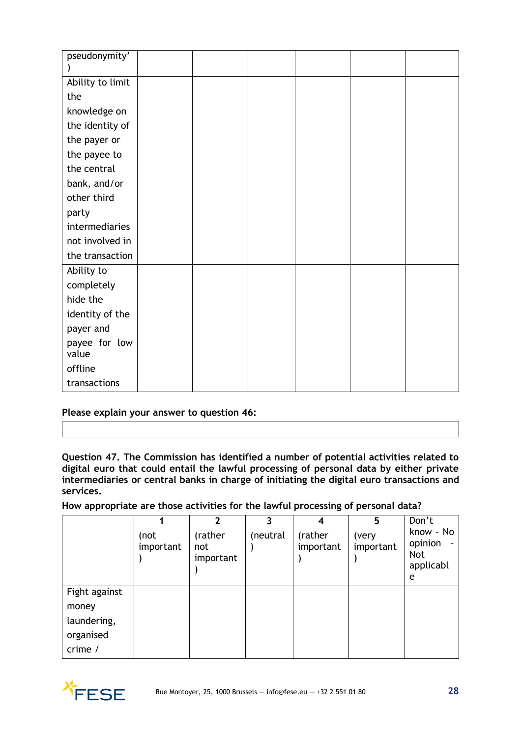| pseudonymity'          |  |  |  |
|------------------------|--|--|--|
|                        |  |  |  |
| Ability to limit       |  |  |  |
| the                    |  |  |  |
| knowledge on           |  |  |  |
| the identity of        |  |  |  |
| the payer or           |  |  |  |
| the payee to           |  |  |  |
| the central            |  |  |  |
| bank, and/or           |  |  |  |
| other third            |  |  |  |
| party                  |  |  |  |
| intermediaries         |  |  |  |
| not involved in        |  |  |  |
| the transaction        |  |  |  |
| Ability to             |  |  |  |
| completely             |  |  |  |
| hide the               |  |  |  |
| identity of the        |  |  |  |
| payer and              |  |  |  |
| payee for low<br>value |  |  |  |
| offline                |  |  |  |
| transactions           |  |  |  |

**Please explain your answer to question 46:**

**Question 47. The Commission has identified a number of potential activities related to digital euro that could entail the lawful processing of personal data by either private intermediaries or central banks in charge of initiating the digital euro transactions and services.**

**How appropriate are those activities for the lawful processing of personal data?** 

|               |                   |                             |          | 4                    | 5                  | Don't                                                |
|---------------|-------------------|-----------------------------|----------|----------------------|--------------------|------------------------------------------------------|
|               | (not<br>important | (rather<br>not<br>important | (neutral | (rather<br>important | (very<br>important | know - No<br>opinion<br><b>Not</b><br>applicabl<br>e |
| Fight against |                   |                             |          |                      |                    |                                                      |
| money         |                   |                             |          |                      |                    |                                                      |
| laundering,   |                   |                             |          |                      |                    |                                                      |
| organised     |                   |                             |          |                      |                    |                                                      |
| crime $/$     |                   |                             |          |                      |                    |                                                      |

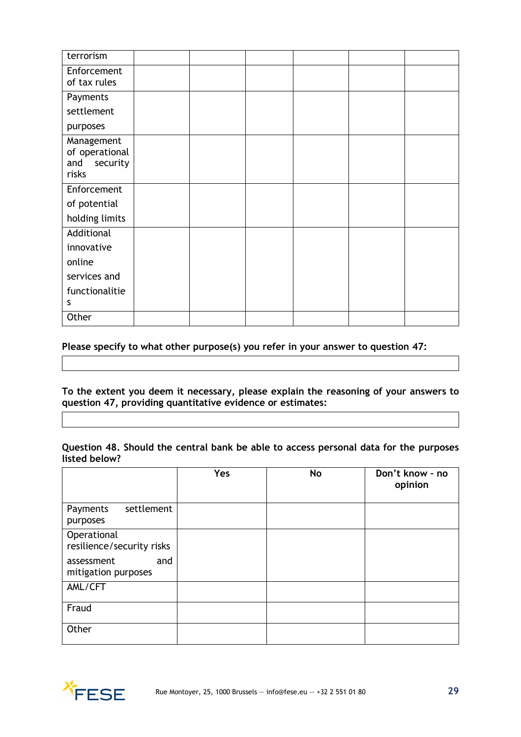| terrorism                         |  |  |  |
|-----------------------------------|--|--|--|
| Enforcement                       |  |  |  |
| of tax rules                      |  |  |  |
| Payments                          |  |  |  |
| settlement                        |  |  |  |
| purposes                          |  |  |  |
| Management                        |  |  |  |
| of operational<br>and<br>security |  |  |  |
| risks                             |  |  |  |
| Enforcement                       |  |  |  |
| of potential                      |  |  |  |
| holding limits                    |  |  |  |
| Additional                        |  |  |  |
| innovative                        |  |  |  |
| online                            |  |  |  |
| services and                      |  |  |  |
| functionalitie                    |  |  |  |
| s                                 |  |  |  |
| Other                             |  |  |  |

#### **Please specify to what other purpose(s) you refer in your answer to question 47:**

**To the extent you deem it necessary, please explain the reasoning of your answers to question 47, providing quantitative evidence or estimates:**

# **Question 48. Should the central bank be able to access personal data for the purposes listed below?**

|                                          | Yes | No | Don't know - no<br>opinion |
|------------------------------------------|-----|----|----------------------------|
| settlement<br>Payments<br>purposes       |     |    |                            |
| Operational<br>resilience/security risks |     |    |                            |
| assessment<br>and<br>mitigation purposes |     |    |                            |
| AML/CFT                                  |     |    |                            |
| Fraud                                    |     |    |                            |
| Other                                    |     |    |                            |

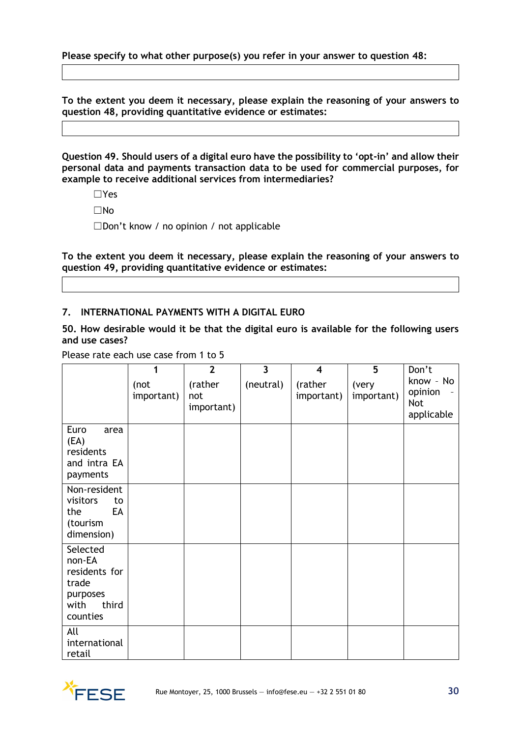**Please specify to what other purpose(s) you refer in your answer to question 48:**

**To the extent you deem it necessary, please explain the reasoning of your answers to question 48, providing quantitative evidence or estimates:**

**Question 49. Should users of a digital euro have the possibility to 'opt-in' and allow their personal data and payments transaction data to be used for commercial purposes, for example to receive additional services from intermediaries?**

- ☐Yes
- ☐No

☐Don't know / no opinion / not applicable

**To the extent you deem it necessary, please explain the reasoning of your answers to question 49, providing quantitative evidence or estimates:**

#### **7. INTERNATIONAL PAYMENTS WITH A DIGITAL EURO**

**50. How desirable would it be that the digital euro is available for the following users and use cases?**

Please rate each use case from 1 to 5

|                                                                                       | 1                  | $\overline{2}$               | $\overline{\mathbf{3}}$ | $\overline{\mathbf{4}}$ | 5                   | Don't                                     |
|---------------------------------------------------------------------------------------|--------------------|------------------------------|-------------------------|-------------------------|---------------------|-------------------------------------------|
|                                                                                       | (not<br>important) | (rather<br>not<br>important) | (neutral)               | (rather<br>important)   | (very<br>important) | know - No<br>opinion<br>Not<br>applicable |
| Euro<br>area<br>(EA)<br>residents<br>and intra EA<br>payments                         |                    |                              |                         |                         |                     |                                           |
| Non-resident<br>visitors<br>to<br>EA<br>the<br>(tourism<br>dimension)                 |                    |                              |                         |                         |                     |                                           |
| Selected<br>non-EA<br>residents for<br>trade<br>purposes<br>third<br>with<br>counties |                    |                              |                         |                         |                     |                                           |
| All<br>international<br>retail                                                        |                    |                              |                         |                         |                     |                                           |

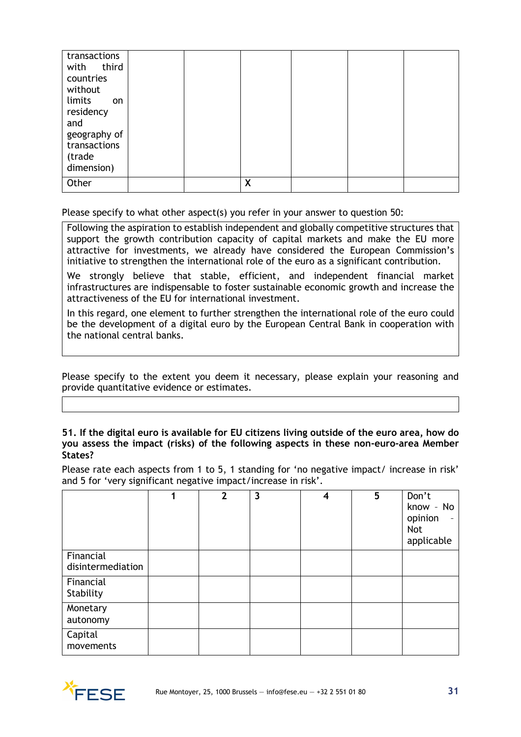| transactions<br>with third<br>countries |  |   |  |  |
|-----------------------------------------|--|---|--|--|
| without                                 |  |   |  |  |
| limits<br>on                            |  |   |  |  |
| residency<br>and                        |  |   |  |  |
| geography of                            |  |   |  |  |
| transactions<br>(trade                  |  |   |  |  |
| dimension)                              |  |   |  |  |
| Other                                   |  | X |  |  |

Please specify to what other aspect(s) you refer in your answer to question 50:

Following the aspiration to establish independent and globally competitive structures that support the growth contribution capacity of capital markets and make the EU more attractive for investments, we already have considered the European Commission's initiative to strengthen the international role of the euro as a significant contribution.

We strongly believe that stable, efficient, and independent financial market infrastructures are indispensable to foster sustainable economic growth and increase the attractiveness of the EU for international investment.

In this regard, one element to further strengthen the international role of the euro could be the development of a digital euro by the European Central Bank in cooperation with the national central banks.

Please specify to the extent you deem it necessary, please explain your reasoning and provide quantitative evidence or estimates.

#### **51. If the digital euro is available for EU citizens living outside of the euro area, how do you assess the impact (risks) of the following aspects in these non-euro-area Member States?**

Please rate each aspects from 1 to 5, 1 standing for 'no negative impact/ increase in risk' and 5 for 'very significant negative impact/increase in risk'.

|                                | 4 | $\overline{2}$ | 3 | 4 | 5 | Don't<br>know - No<br>opinion<br>$\overline{\phantom{a}}$<br>Not<br>applicable |
|--------------------------------|---|----------------|---|---|---|--------------------------------------------------------------------------------|
| Financial<br>disintermediation |   |                |   |   |   |                                                                                |
| Financial<br>Stability         |   |                |   |   |   |                                                                                |
| Monetary<br>autonomy           |   |                |   |   |   |                                                                                |
| Capital<br>movements           |   |                |   |   |   |                                                                                |